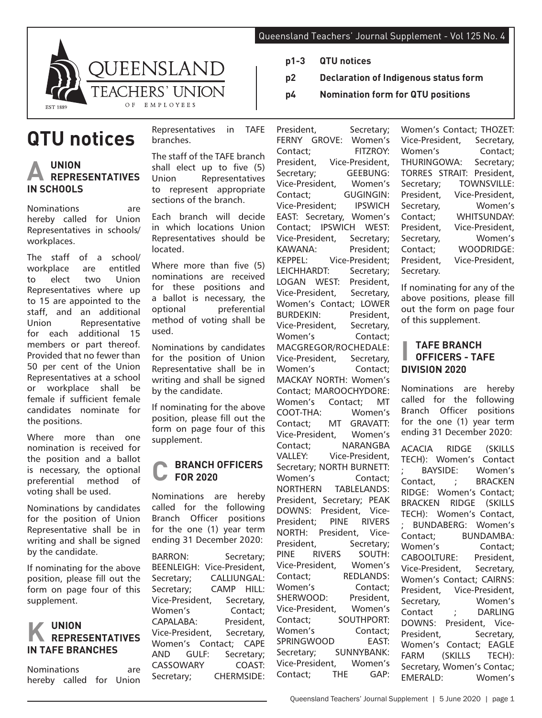

# **QTU notices**

# **A UNION REPRESENTATIVES IN SCHOOLS**

Nominations are hereby called for Union Representatives in schools/ workplaces.

The staff of a school/ workplace are entitled to elect two Union Representatives where up to 15 are appointed to the staff, and an additional Union Representative for each additional 15 members or part thereof. Provided that no fewer than 50 per cent of the Union Representatives at a school or workplace shall be female if sufficient female candidates nominate for the positions.

Where more than one nomination is received for the position and a ballot is necessary, the optional preferential method of voting shall be used.

Nominations by candidates for the position of Union Representative shall be in writing and shall be signed by the candidate.

If nominating for the above position, please fill out the form on page four of this supplement.

## **K UNION REPRESENTATIVES IN TAFE BRANCHES**

Nominations are hereby called for Union

Representatives in TAFE branches.

The staff of the TAFE branch shall elect up to five (5)<br>Union Representatives Representatives to represent appropriate sections of the branch.

Each branch will decide in which locations Union Representatives should be located.

Where more than five (5) nominations are received for these positions and a ballot is necessary, the optional preferential method of voting shall be used.

Nominations by candidates for the position of Union Representative shall be in writing and shall be signed by the candidate.

If nominating for the above position, please fill out the form on page four of this supplement.

#### **C BRANCH OFFICERS FOR 2020**

Nominations are hereby called for the following Branch Officer positions for the one (1) year term ending 31 December 2020:

BARRON: Secretary; BEENLEIGH: Vice-President, Secretary; CALLIUNGAL: Secretary; CAMP HILL: Vice-President, Secretary, Women's Contact; CAPALABA: President, Vice-President, Secretary, Women's Contact; CAPE AND GULF: Secretary; CASSOWARY COAST: Secretary; CHERMSIDE:

Queensland Teachers' Journal Supplement - Vol 125 No. 4

- **p1-3 QTU notices**
- **p2 Declaration of Indigenous status form**
- **p4 Nomination form for QTU positions**

President, Secretary: FERNY GROVE: Women's Contact; FITZROY: President, Vice-President, Secretary; GEEBUNG: Vice-President, Women's Contact; GUGINGIN: Vice-President; IPSWICH EAST: Secretary, Women's Contact; IPSWICH WEST: Vice-President, Secretary; KAWANA: President; KEPPEL: Vice-President; LEICHHARDT: Secretary; LOGAN WEST: President, Vice-President, Women's Contact; LOWER BURDEKIN: President, Vice-President, Secretary, Women's Contact; MACGREGOR/ROCHEDALE: Vice-President, Secretary, Women's Contact: MACKAY NORTH: Women's Contact; MAROOCHYDORE: Women's Contact; MT COOT-THA: Women's Contact; MT GRAVATT: Vice-President, Women's Contact; NARANGBA VALLEY: Vice-President, Secretary; NORTH BURNETT: Women's Contact; NORTHERN TABLELANDS: President, Secretary; PEAK DOWNS: President, Vice-President; PINE RIVERS NORTH: President, Vice-President, Secretary; PINE RIVERS SOUTH: Vice-President, Women's Contact; REDLANDS: Women's Contact; SHERWOOD: President, Vice-President, Women's Contact; SOUTHPORT: Women's Contact; SPRINGWOOD EAST: Secretary; SUNNYBANK: Vice-President, Women's Contact; THE GAP:

Women's Contact; THOZET: Vice-President, Secretary, Women's Contact; THURINGOWA: Secretary; TORRES STRAIT: President, Secretary; TOWNSVILLE: President, Vice-President, Secretary, Women's Contact; WHITSUNDAY: President, Vice-President, Secretary, Women's Contact; WOODRIDGE: President, Vice-President, Secretary.

If nominating for any of the above positions, please fill out the form on page four of this supplement.

## **I TAFE BRANCH OFFICERS - TAFE DIVISION 2020**

Nominations are hereby called for the following Branch Officer positions for the one (1) year term ending 31 December 2020:

ACACIA RIDGE (SKILLS TECH): Women's Contact ; BAYSIDE: Women's Contact, ; BRACKEN RIDGE: Women's Contact; BRACKEN RIDGE (SKILLS TECH): Women's Contact, ; BUNDABERG: Women's Contact; BUNDAMBA: Women's Contact; CABOOLTURE: President, Vice-President, Secretary, Women's Contact; CAIRNS: President, Vice-President, Secretary, Women's Contact ; DARLING DOWNS: President, Vice-President, Secretary, Women's Contact; EAGLE FARM (SKILLS TECH): Secretary, Women's Contac; EMERALD: Women's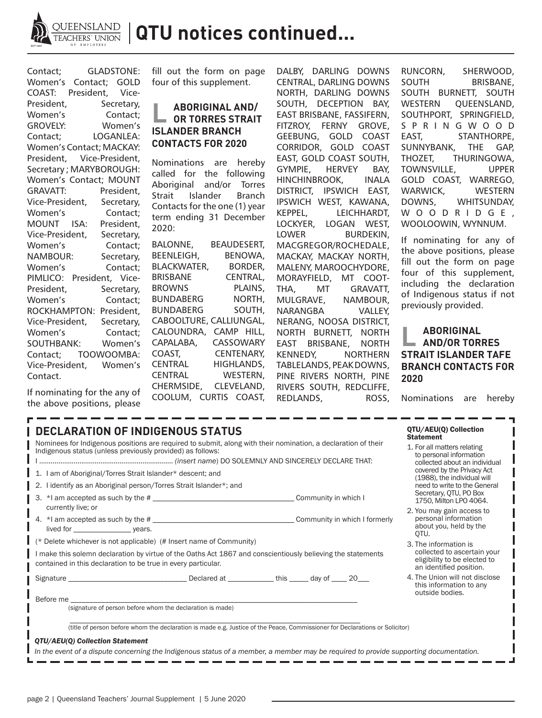

| Contact;                   | GLADSTONE: |  |            |  |
|----------------------------|------------|--|------------|--|
| Women's Contact; GOLD      |            |  |            |  |
| COAST: President,          |            |  | Vice-      |  |
| President,                 |            |  | Secretary, |  |
| Women's                    |            |  | Contact:   |  |
| <b>GROVELY:</b>            |            |  | Women's    |  |
| Contact;                   |            |  | LOGANLEA:  |  |
| Women's Contact; MACKAY:   |            |  |            |  |
| President, Vice-President, |            |  |            |  |
| Secretary; MARYBOROUGH:    |            |  |            |  |
| Women's Contact; MOUNT     |            |  |            |  |
| <b>GRAVATT:</b>            |            |  | President. |  |
| Vice-President,            |            |  | Secretary, |  |
| Women's                    |            |  | Contact:   |  |
| MOUNT ISA:                 |            |  | President, |  |
| Vice-President,            |            |  | Secretary, |  |
| Women's                    |            |  | Contact:   |  |
| <b>NAMBOUR:</b>            |            |  | Secretary, |  |
| Women's                    |            |  | Contact:   |  |
| PIMLICO: President, Vice-  |            |  |            |  |
| President.                 |            |  | Secretary, |  |
| Women's                    |            |  | Contact:   |  |
| ROCKHAMPTON:               |            |  | President, |  |
| Vice-President,            |            |  | Secretary, |  |
| Women's                    |            |  | Contact;   |  |
| <b>SOUTHBANK:</b>          |            |  | Women's    |  |
| Contact; TOOWOOMBA:        |            |  |            |  |
| Vice-President.            |            |  | Women's    |  |
| Contact.                   |            |  |            |  |
|                            |            |  |            |  |

fill out the form on page four of this supplement.

## **L ABORIGINAL AND/ OR TORRES STRAIT ISLANDER BRANCH CONTACTS FOR 2020**

Nominations are hereby called for the following Aboriginal and/or Torres Strait Islander Branch Contacts for the one (1) year term ending 31 December 2020:

BALONNE, BEAUDESERT, BEENLEIGH, BENOWA, BLACKWATER, BORDER, BRISBANE CENTRAL, BROWNS PLAINS, BUNDABERG NORTH, BUNDABERG SOUTH, CABOOLTURE, CALLIUNGAL, CALOUNDRA, CAMP HILL, CAPALABA, CASSOWARY COAST, CENTENARY, CENTRAL HIGHLANDS, CENTRAL WESTERN, CHERMSIDE, CLEVELAND, COOLUM, CURTIS COAST, DALBY, DARLING DOWNS CENTRAL, DARLING DOWNS NORTH, DARLING DOWNS SOUTH, DECEPTION BAY, EAST BRISBANE, FASSIFERN, FITZROY, FERNY GROVE, GEEBUNG, GOLD COAST CORRIDOR, GOLD COAST EAST, GOLD COAST SOUTH, GYMPIE, HERVEY BAY, HINCHINBROOK, INALA DISTRICT, IPSWICH EAST, IPSWICH WEST, KAWANA, KEPPEL, LEICHHARDT, LOCKYER, LOGAN WEST, LOWER BURDEKIN, MACGREGOR/ROCHEDALE, MACKAY, MACKAY NORTH, MALENY, MAROOCHYDORE, MORAYFIELD, MT COOT-THA, MT GRAVATT, MULGRAVE, NAMBOUR, NARANGBA VALLEY, NERANG, NOOSA DISTRICT, NORTH BURNETT, NORTH EAST BRISBANE, NORTH KENNEDY, NORTHERN TABLELANDS, PEAK DOWNS, PINE RIVERS NORTH, PINE RIVERS SOUTH, REDCLIFFE, REDLANDS, ROSS, RUNCORN, SHERWOOD, SOUTH BRISBANE, SOUTH BURNETT, SOUTH WESTERN QUEENSLAND, SOUTHPORT, SPRINGFIELD, S P R I N G W O O D EAST, STANTHORPE, SUNNYBANK, THE GAP, THOZET, THURINGOWA, TOWNSVILLE, UPPER GOLD COAST, WARREGO, WARWICK, WESTERN DOWNS, WHITSUNDAY, W O O D R I D G E , WOOLOOWIN, WYNNUM.

If nominating for any of the above positions, please fill out the form on page four of this supplement, including the declaration of Indigenous status if not previously provided.

### **L ABORIGINAL AND/OR TORRES STRAIT ISLANDER TAFE BRANCH CONTACTS FOR 2020**

If nominating for the any of the above positions, please

Nominations are hereby

| <b>DECLARATION OF INDIGENOUS STATUS</b><br>Nominees for Indigenous positions are required to submit, along with their nomination, a declaration of their<br>Indigenous status (unless previously provided) as follows:<br>I am of Aboriginal/Torres Strait Islander* descent; and<br>I identify as an Aboriginal person/Torres Strait Islander*; and<br>2. | QTU/AEU(Q) Collection<br><b>Statement</b><br>1. For all matters relating<br>to personal information<br>collected about an individual<br>covered by the Privacy Act<br>(1988), the individual will<br>need to write to the General |                                                                                     |  |  |  |
|------------------------------------------------------------------------------------------------------------------------------------------------------------------------------------------------------------------------------------------------------------------------------------------------------------------------------------------------------------|-----------------------------------------------------------------------------------------------------------------------------------------------------------------------------------------------------------------------------------|-------------------------------------------------------------------------------------|--|--|--|
| 3.                                                                                                                                                                                                                                                                                                                                                         |                                                                                                                                                                                                                                   | Secretary, QTU, PO Box<br>1750. Milton LPO 4064.                                    |  |  |  |
| currently live; or<br>lived for _______________________ years.                                                                                                                                                                                                                                                                                             |                                                                                                                                                                                                                                   | 2. You may gain access to<br>personal information<br>about you, held by the<br>OTU. |  |  |  |
| $\mathbf{r}$ (* Delete whichever is not applicable) (# Insert name of Community)<br>I make this solemn declaration by virtue of the Oaths Act 1867 and conscientiously believing the statements<br>contained in this declaration to be true in every particular.                                                                                           | 3. The information is<br>collected to ascertain your<br>eligibility to be elected to<br>an identified position.                                                                                                                   |                                                                                     |  |  |  |
|                                                                                                                                                                                                                                                                                                                                                            |                                                                                                                                                                                                                                   | 4. The Union will not disclose<br>this information to any<br>outside bodies.        |  |  |  |
| Before me<br>(signature of person before whom the declaration is made)                                                                                                                                                                                                                                                                                     |                                                                                                                                                                                                                                   |                                                                                     |  |  |  |
| (title of person before whom the declaration is made e.g. Justice of the Peace, Commissioner for Declarations or Solicitor)<br>QTU/AEU(Q) Collection Statement<br>In the event of a dispute concerning the Indigenous status of a member, a member may be required to provide supporting documentation.                                                    |                                                                                                                                                                                                                                   |                                                                                     |  |  |  |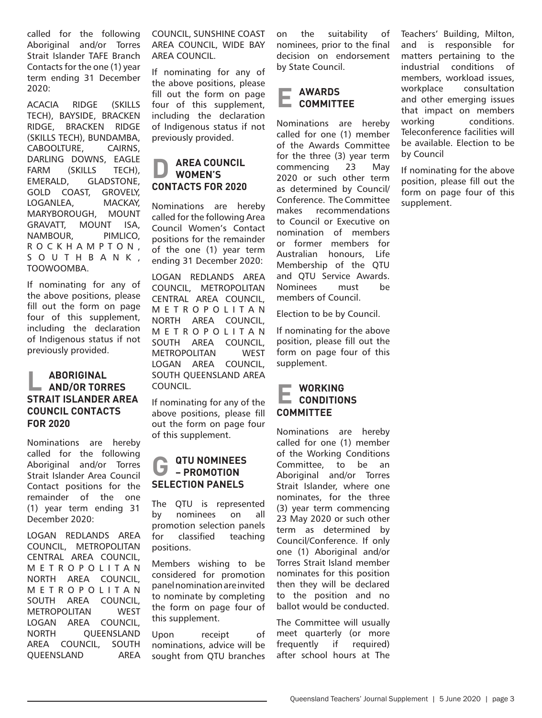called for the following Aboriginal and/or Torres Strait Islander TAFE Branch Contacts for the one (1) year term ending 31 December 2020:

ACACIA RIDGE (SKILLS TECH), BAYSIDE, BRACKEN RIDGE, BRACKEN RIDGE (SKILLS TECH), BUNDAMBA, CABOOLTURE, CAIRNS, DARLING DOWNS, EAGLE FARM (SKILLS TECH), EMERALD, GLADSTONE, GOLD COAST, GROVELY, LOGANLEA, MACKAY, MARYBOROUGH, MOUNT GRAVATT, MOUNT ISA, NAMBOUR, PIMLICO, R O C K H A M P T O N , S O U T H B A N K , TOOWOOMBA.

If nominating for any of the above positions, please fill out the form on page four of this supplement, including the declaration of Indigenous status if not previously provided.

## **L ABORIGINAL AND/OR TORRES STRAIT ISLANDER AREA COUNCIL CONTACTS FOR 2020**

Nominations are hereby called for the following Aboriginal and/or Torres Strait Islander Area Council Contact positions for the remainder of the one (1) year term ending 31 December 2020:

LOGAN REDLANDS AREA COUNCIL, METROPOLITAN CENTRAL AREA COUNCIL, M E T R O P O L I T A N NORTH AREA COUNCIL, M E T R O P O L I T A N SOUTH AREA COUNCIL, METROPOLITAN WEST LOGAN AREA COUNCIL, NORTH QUEENSLAND AREA COUNCIL, SOUTH QUEENSLAND AREA

COUNCIL, SUNSHINE COAST AREA COUNCIL, WIDE BAY AREA COUNCIL.

If nominating for any of the above positions, please fill out the form on page four of this supplement, including the declaration of Indigenous status if not previously provided.

#### **D AREA COUNCIL WOMEN'S CONTACTS FOR 2020**

Nominations are hereby called for the following Area Council Women's Contact positions for the remainder of the one (1) year term ending 31 December 2020:

LOGAN REDLANDS AREA COUNCIL, METROPOLITAN CENTRAL AREA COUNCIL, M E T R O P O L I T A N NORTH AREA COUNCIL, M E T R O P O L I T A N SOUTH AREA COUNCIL, METROPOLITAN WEST LOGAN AREA COUNCIL, SOUTH QUEENSLAND AREA COUNCIL.

If nominating for any of the above positions, please fill out the form on page four of this supplement.

#### **G** QTU NOMINEES **– PROMOTION SELECTION PANELS**

The QTU is represented by nominees on all promotion selection panels for classified teaching positions.

Members wishing to be considered for promotion panel nomination are invited to nominate by completing the form on page four of this supplement.

Upon receipt of nominations, advice will be sought from QTU branches on the suitability of nominees, prior to the final decision on endorsement by State Council.

# **E AWARDS COMMITTEE**

Nominations are hereby called for one (1) member of the Awards Committee for the three (3) year term commencing 23 May 2020 or such other term as determined by Council/ Conference. The Committee makes recommendations to Council or Executive on nomination of members or former members for Australian honours, Life Membership of the QTU and QTU Service Awards. Nominees must be members of Council.

Election to be by Council.

If nominating for the above position, please fill out the form on page four of this supplement.

## **E WORKING CONDITIONS COMMITTEE**

Nominations are hereby called for one (1) member of the Working Conditions Committee, to be an Aboriginal and/or Torres Strait Islander, where one nominates, for the three (3) year term commencing 23 May 2020 or such other term as determined by Council/Conference. If only one (1) Aboriginal and/or Torres Strait Island member nominates for this position then they will be declared to the position and no ballot would be conducted.

The Committee will usually meet quarterly (or more frequently if required) after school hours at The Teachers' Building, Milton, and is responsible for matters pertaining to the industrial conditions of members, workload issues, workplace consultation and other emerging issues that impact on members working conditions. Teleconference facilities will be available. Election to be by Council

If nominating for the above position, please fill out the form on page four of this supplement.